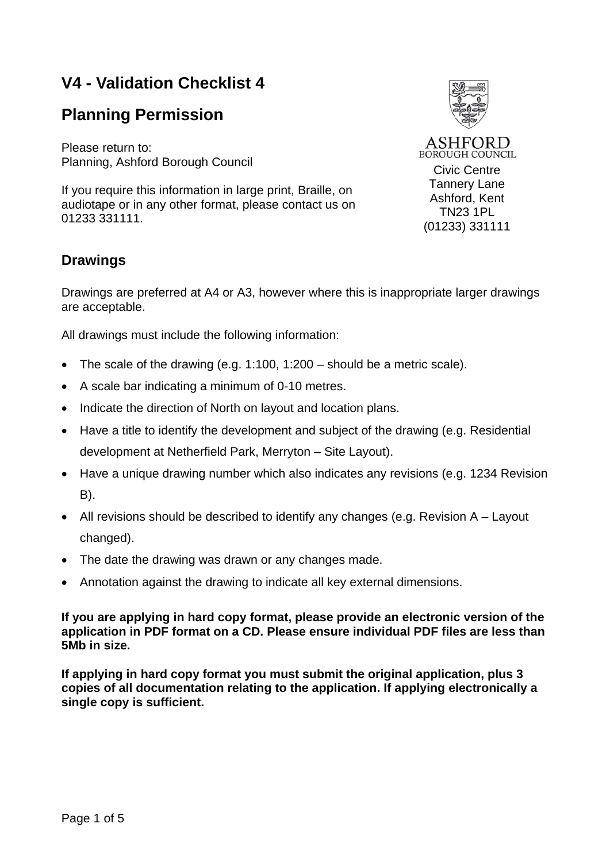# **V4 - Validation Checklist 4**

## **Planning Permission**

Please return to: Planning, Ashford Borough Council

If you require this information in large print, Braille, on audiotape or in any other format, please contact us on 01233 331111.

## **Drawings**



Drawings are preferred at A4 or A3, however where this is inappropriate larger drawings are acceptable.

All drawings must include the following information:

- The scale of the drawing (e.g. 1:100, 1:200 should be a metric scale).
- A scale bar indicating a minimum of 0-10 metres.
- Indicate the direction of North on layout and location plans.
- Have a title to identify the development and subject of the drawing (e.g. Residential development at Netherfield Park, Merryton – Site Layout).
- Have a unique drawing number which also indicates any revisions (e.g. 1234 Revision B).
- All revisions should be described to identify any changes (e.g. Revision A Layout changed).
- The date the drawing was drawn or any changes made.
- Annotation against the drawing to indicate all key external dimensions.

**If you are applying in hard copy format, please provide an electronic version of the application in PDF format on a CD. Please ensure individual PDF files are less than 5Mb in size.** 

**If applying in hard copy format you must submit the original application, plus 3 copies of all documentation relating to the application. If applying electronically a single copy is sufficient.**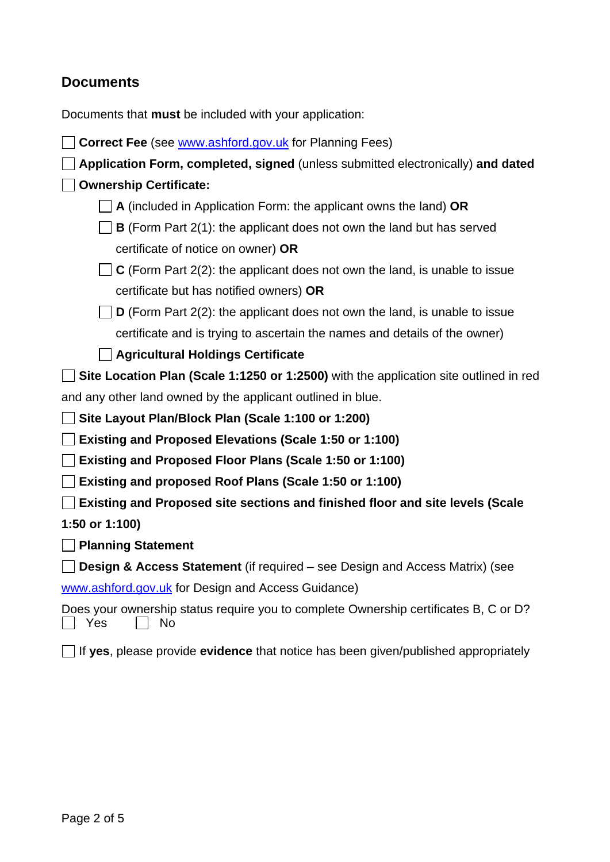### **Documents**

Documents that **must** be included with your application:

| <b>Correct Fee</b> (see <b>www.ashford.gov.uk</b> for Planning Fees)                              |
|---------------------------------------------------------------------------------------------------|
| Application Form, completed, signed (unless submitted electronically) and dated                   |
| <b>Ownership Certificate:</b>                                                                     |
| A (included in Application Form: the applicant owns the land) OR                                  |
| <b>B</b> (Form Part 2(1): the applicant does not own the land but has served                      |
| certificate of notice on owner) OR                                                                |
| $\perp$ C (Form Part 2(2): the applicant does not own the land, is unable to issue                |
| certificate but has notified owners) OR                                                           |
| <b>D</b> (Form Part $2(2)$ : the applicant does not own the land, is unable to issue              |
| certificate and is trying to ascertain the names and details of the owner)                        |
| <b>Agricultural Holdings Certificate</b>                                                          |
| Site Location Plan (Scale 1:1250 or 1:2500) with the application site outlined in red             |
| and any other land owned by the applicant outlined in blue.                                       |
| Site Layout Plan/Block Plan (Scale 1:100 or 1:200)                                                |
| <b>Existing and Proposed Elevations (Scale 1:50 or 1:100)</b>                                     |
| <b>Existing and Proposed Floor Plans (Scale 1:50 or 1:100)</b>                                    |
| Existing and proposed Roof Plans (Scale 1:50 or 1:100)                                            |
| Existing and Proposed site sections and finished floor and site levels (Scale                     |
| 1:50 or 1:100)                                                                                    |
| <b>Planning Statement</b>                                                                         |
| <b>Design &amp; Access Statement</b> (if required – see Design and Access Matrix) (see            |
| www.ashford.gov.uk for Design and Access Guidance)                                                |
| Does your ownership status require you to complete Ownership certificates B, C or D?<br>Yes<br>N٥ |

If **yes**, please provide **evidence** that notice has been given/published appropriately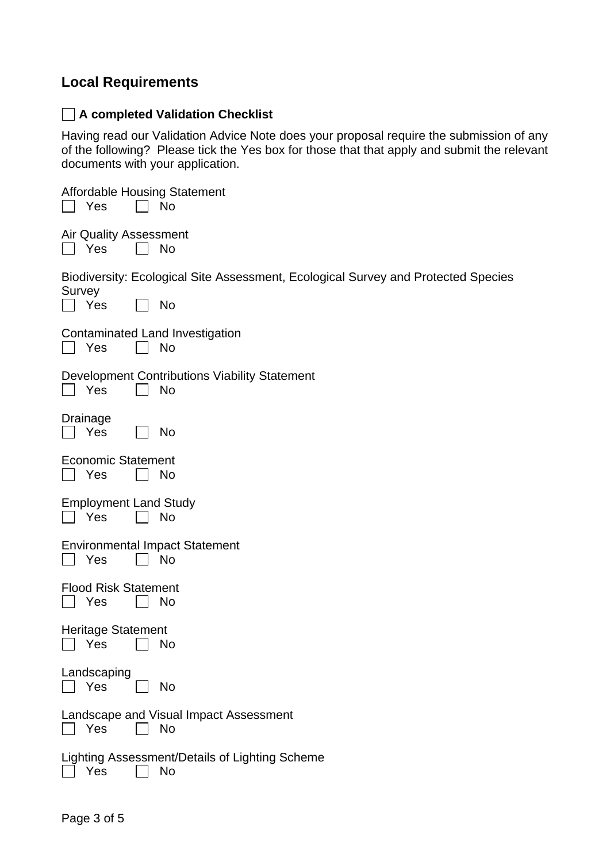### **Local Requirements**

#### **A completed Validation Checklist**

Having read our Validation Advice Note does your proposal require the submission of any of the following? Please tick the Yes box for those that that apply and submit the relevant documents with your application.

| <b>Affordable Housing Statement</b><br><b>No</b><br>Yes                                                  |
|----------------------------------------------------------------------------------------------------------|
| <b>Air Quality Assessment</b><br>No<br>  Yes                                                             |
| Biodiversity: Ecological Site Assessment, Ecological Survey and Protected Species<br>Survey<br>No<br>Yes |
| Contaminated Land Investigation<br>Yes<br>No<br>$\mathbf{1}$                                             |
| Development Contributions Viability Statement<br>Yes<br>No                                               |
| Drainage<br>Yes<br>No                                                                                    |
| <b>Economic Statement</b><br>Yes<br>No                                                                   |
| <b>Employment Land Study</b><br><b>No</b><br>Yes                                                         |
| <b>Environmental Impact Statement</b><br>No<br>Yes                                                       |
| <b>Flood Risk Statement</b><br>No<br>Yes                                                                 |
| <b>Heritage Statement</b><br>Yes<br>No                                                                   |
| Landscaping<br>Yes<br><b>No</b>                                                                          |
| Landscape and Visual Impact Assessment<br>Yes<br>No                                                      |
| Lighting Assessment/Details of Lighting Scheme<br>Yes<br>No                                              |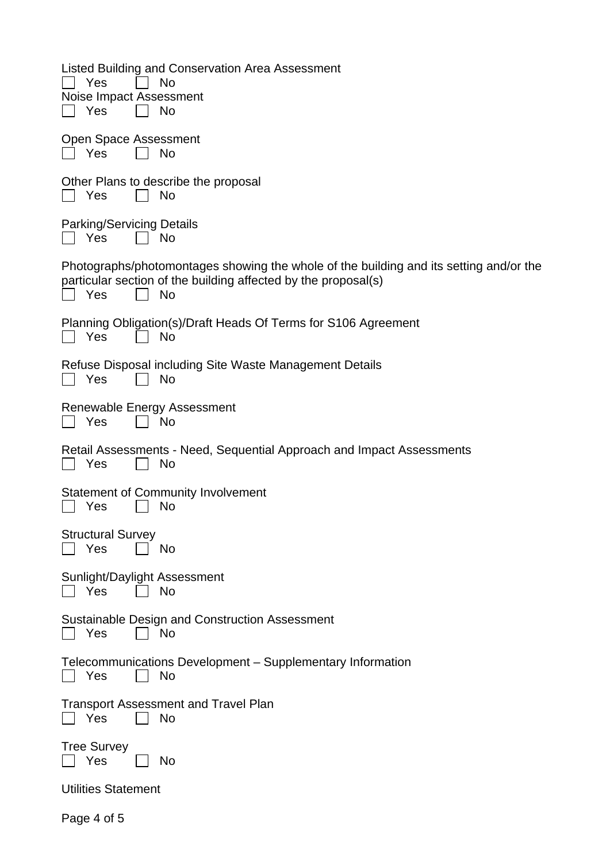| Listed Building and Conservation Area Assessment<br>Yes<br>No<br>Noise Impact Assessment<br><b>No</b><br>Yes                                                                 |
|------------------------------------------------------------------------------------------------------------------------------------------------------------------------------|
| Open Space Assessment<br>Yes<br>No                                                                                                                                           |
| Other Plans to describe the proposal<br><b>No</b><br>Yes                                                                                                                     |
| <b>Parking/Servicing Details</b><br>No<br>Yes                                                                                                                                |
| Photographs/photomontages showing the whole of the building and its setting and/or the<br>particular section of the building affected by the proposal(s)<br>Yes<br><b>No</b> |
| Planning Obligation(s)/Draft Heads Of Terms for S106 Agreement<br>Yes<br>No                                                                                                  |
| Refuse Disposal including Site Waste Management Details<br>No<br>Yes                                                                                                         |
| Renewable Energy Assessment<br>Yes<br>No                                                                                                                                     |
| Retail Assessments - Need, Sequential Approach and Impact Assessments<br><b>No</b><br>Yes                                                                                    |
| <b>Statement of Community Involvement</b><br><b>No</b><br>Yes                                                                                                                |
| <b>Structural Survey</b><br>Yes<br><b>No</b>                                                                                                                                 |
| Sunlight/Daylight Assessment<br>Yes<br><b>No</b>                                                                                                                             |
| Sustainable Design and Construction Assessment<br><b>No</b><br>Yes                                                                                                           |
| Telecommunications Development – Supplementary Information<br>Yes<br>No                                                                                                      |
| <b>Transport Assessment and Travel Plan</b><br><b>No</b><br>Yes                                                                                                              |
| <b>Tree Survey</b><br>Yes<br>No                                                                                                                                              |
| <b>Utilities Statement</b>                                                                                                                                                   |
| Page 4 of 5                                                                                                                                                                  |